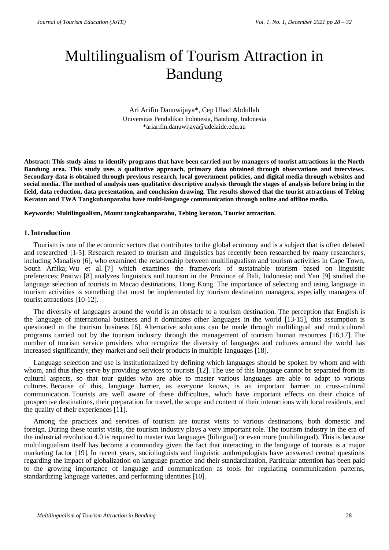# Multilingualism of Tourism Attraction in Bandung

Ari Arifin Danuwijaya\*, Cep Ubad Abdullah Universitas Pendidikan Indonesia, Bandung, Indonesia \*ariarifin.danuwijaya@adelaide.edu.au

**Abstract: This study aims to identify programs that have been carried out by managers of tourist attractions in the North Bandung area. This study uses a qualitative approach, primary data obtained through observations and interviews. Secondary data is obtained through previous research, local government policies, and digital media through websites and social media. The method of analysis uses qualitative descriptive analysis through the stages of analysis before being in the field, data reduction, data presentation, and conclusion drawing. The results showed that the tourist attractions of Tebing Keraton and TWA Tangkubanparahu have multi-language communication through online and offline media.**

**Keywords: Multilingualism, Mount tangkubanparahu, Tebing keraton, Tourist attraction.**

## **1. Introduction**

Tourism is one of the economic sectors that contributes to the global economy and is a subject that is often debated and researched [1-5]. Research related to tourism and linguistics has recently been researched by many researchers, including Manaliyo [6], who examined the relationship between multilingualism and tourism activities in Cape Town, South Arfika; Wu et al. [7] which examines the framework of sustainable tourism based on linguistic preferences; Pratiwi [8] analyzes linguistics and tourism in the Province of Bali, Indonesia; and Yan [9] studied the language selection of tourists in Macao destinations, Hong Kong. The importance of selecting and using language in tourism activities is something that must be implemented by tourism destination managers, especially managers of tourist attractions [10-12].

The diversity of languages around the world is an obstacle to a tourism destination. The perception that English is the language of international business and it dominates other languages in the world [13-15], this assumption is questioned in the tourism business [6]. Alternative solutions can be made through multilingual and multicultural programs carried out by the tourism industry through the management of tourism human resources [16,17]. The number of tourism service providers who recognize the diversity of languages and cultures around the world has increased significantly, they market and sell their products in multiple languages [18].

Language selection and use is institutionalized by defining which languages should be spoken by whom and with whom, and thus they serve by providing services to tourists [12]. The use of this language cannot be separated from its cultural aspects, so that tour guides who are able to master various languages are able to adapt to various cultures. Because of this, language barrier, as everyone knows, is an important barrier to cross-cultural communication. Tourists are well aware of these difficulties, which have important effects on their choice of prospective destinations, their preparation for travel, the scope and content of their interactions with local residents, and the quality of their experiences [11].

Among the practices and services of tourism are tourist visits to various destinations, both domestic and foreign. During these tourist visits, the tourism industry plays a very important role. The tourism industry in the era of the industrial revolution 4.0 is required to master two languages (bilingual) or even more (multilingual). This is because multilingualism itself has become a commodity given the fact that interacting in the language of tourists is a major marketing factor [19]. In recent years, sociolinguists and linguistic anthropologists have answered central questions regarding the impact of globalization on language practice and their standardization. Particular attention has been paid to the growing importance of language and communication as tools for regulating communication patterns, standardizing language varieties, and performing identities [10].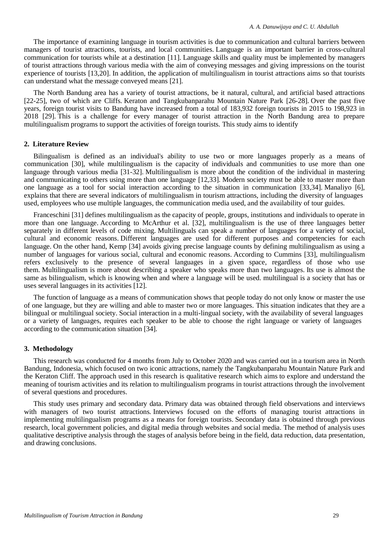The importance of examining language in tourism activities is due to communication and cultural barriers between managers of tourist attractions, tourists, and local communities. Language is an important barrier in cross-cultural communication for tourists while at a destination [11]. Language skills and quality must be implemented by managers of tourist attractions through various media with the aim of conveying messages and giving impressions on the tourist experience of tourists [13,20]. In addition, the application of multilingualism in tourist attractions aims so that tourists can understand what the message conveyed means [21].

The North Bandung area has a variety of tourist attractions, be it natural, cultural, and artificial based attractions [22-25], two of which are Cliffs. Keraton and Tangkubanparahu Mountain Nature Park [26-28]. Over the past five years, foreign tourist visits to Bandung have increased from a total of 183,932 foreign tourists in 2015 to 198,923 in 2018 [29]. This is a challenge for every manager of tourist attraction in the North Bandung area to prepare multilingualism programs to support the activities of foreign tourists. This study aims to identify

# **2. Literature Review**

Bilingualism is defined as an individual's ability to use two or more languages properly as a means of communication [30], while multilingualism is the capacity of individuals and communities to use more than one language through various media [31-32]. Multilingualism is more about the condition of the individual in mastering and communicating to others using more than one language [12,33]. Modern society must be able to master more than one language as a tool for social interaction according to the situation in communication [33,34]. Manaliyo [6], explains that there are several indicators of multilingualism in tourism attractions, including the diversity of languages used, employees who use multiple languages, the communication media used, and the availability of tour guides.

Franceschini [31] defines multilingualism as the capacity of people, groups, institutions and individuals to operate in more than one language. According to McArthur et al. [32], multilingualism is the use of three languages better separately in different levels of code mixing. Multilinguals can speak a number of languages for a variety of social, cultural and economic reasons. Different languages are used for different purposes and competencies for each language. On the other hand, Kemp [34] avoids giving precise language counts by defining multilingualism as using a number of languages for various social, cultural and economic reasons. According to Cummins [33], multilingualism refers exclusively to the presence of several languages in a given space, regardless of those who use them. Multilingualism is more about describing a speaker who speaks more than two languages. Its use is almost the same as bilingualism, which is knowing when and where a language will be used. multilingual is a society that has or uses several languages in its activities [12].

The function of language as a means of communication shows that people today do not only know or master the use of one language, but they are willing and able to master two or more languages. This situation indicates that they are a bilingual or multilingual society. Social interaction in a multi-lingual society, with the availability of several languages or a variety of languages, requires each speaker to be able to choose the right language or variety of languages according to the communication situation [34].

### **3. Methodology**

This research was conducted for 4 months from July to October 2020 and was carried out in a tourism area in North Bandung, Indonesia, which focused on two iconic attractions, namely the Tangkubanparahu Mountain Nature Park and the Keraton Cliff. The approach used in this research is qualitative research which aims to explore and understand the meaning of tourism activities and its relation to multilingualism programs in tourist attractions through the involvement of several questions and procedures.

This study uses primary and secondary data. Primary data was obtained through field observations and interviews with managers of two tourist attractions. Interviews focused on the efforts of managing tourist attractions in implementing multilingualism programs as a means for foreign tourists. Secondary data is obtained through previous research, local government policies, and digital media through websites and social media. The method of analysis uses qualitative descriptive analysis through the stages of analysis before being in the field, data reduction, data presentation, and drawing conclusions.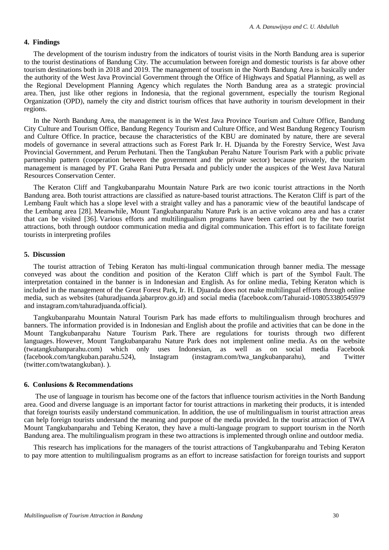## **4. Findings**

The development of the tourism industry from the indicators of tourist visits in the North Bandung area is superior to the tourist destinations of Bandung City. The accumulation between foreign and domestic tourists is far above other tourism destinations both in 2018 and 2019. The management of tourism in the North Bandung Area is basically under the authority of the West Java Provincial Government through the Office of Highways and Spatial Planning, as well as the Regional Development Planning Agency which regulates the North Bandung area as a strategic provincial area. Then, just like other regions in Indonesia, that the regional government, especially the tourism Regional Organization (OPD), namely the city and district tourism offices that have authority in tourism development in their regions.

In the North Bandung Area, the management is in the West Java Province Tourism and Culture Office, Bandung City Culture and Tourism Office, Bandung Regency Tourism and Culture Office, and West Bandung Regency Tourism and Culture Office. In practice, because the characteristics of the KBU are dominated by nature, there are several models of governance in several attractions such as Forest Park Ir. H. Djuanda by the Forestry Service, West Java Provincial Government, and Perum Perhutani. Then the Tangkuban Perahu Nature Tourism Park with a public private partnership pattern (cooperation between the government and the private sector) because privately, the tourism management is managed by PT. Graha Rani Putra Persada and publicly under the auspices of the West Java Natural Resources Conservation Center.

The Keraton Cliff and Tangkubanparahu Mountain Nature Park are two iconic tourist attractions in the North Bandung area. Both tourist attractions are classified as nature-based tourist attractions. The Keraton Cliff is part of the Lembang Fault which has a slope level with a straight valley and has a panoramic view of the beautiful landscape of the Lembang area [28]. Meanwhile, Mount Tangkubanparahu Nature Park is an active volcano area and has a crater that can be visited [36]. Various efforts and multilingualism programs have been carried out by the two tourist attractions, both through outdoor communication media and digital communication. This effort is to facilitate foreign tourists in interpreting profiles

# **5. Discussion**

The tourist attraction of Tebing Keraton has multi-lingual communication through banner media. The message conveyed was about the condition and position of the Keraton Cliff which is part of the Symbol Fault. The interpretation contained in the banner is in Indonesian and English. As for online media, Tebing Keraton which is included in the management of the Great Forest Park, Ir. H. Djuanda does not make multilingual efforts through online media, such as websites (tahuradjuanda.jabarprov.go.id) and social media (facebook.com/Tahuraid-108053380545979 and instagram.com/tahuradjuanda.official).

Tangkubanparahu Mountain Natural Tourism Park has made efforts to multilingualism through brochures and banners. The information provided is in Indonesian and English about the profile and activities that can be done in the Mount Tangkubanparahu Nature Tourism Park. There are regulations for tourists through two different languages. However, Mount Tangkubanparahu Nature Park does not implement online media. As on the website (twatangkubanparahu.com) which only uses Indonesian, as well as on social media Facebook (facebook.com/tangkuban.parahu.524), Instagram (instagram.com/twa\_tangkubanparahu), and Twitter (twitter.com/twatangkuban). ).

#### **6. Conlusions & Recommendations**

The use of language in tourism has become one of the factors that influence tourism activities in the North Bandung area. Good and diverse language is an important factor for tourist attractions in marketing their products, it is intended that foreign tourists easily understand communication. In addition, the use of multilingualism in tourist attraction areas can help foreign tourists understand the meaning and purpose of the media provided. In the tourist attraction of TWA Mount Tangkubanparahu and Tebing Keraton, they have a multi-language program to support tourism in the North Bandung area. The multilingualism program in these two attractions is implemented through online and outdoor media.

This research has implications for the managers of the tourist attractions of Tangkubanparahu and Tebing Keraton to pay more attention to multilingualism programs as an effort to increase satisfaction for foreign tourists and support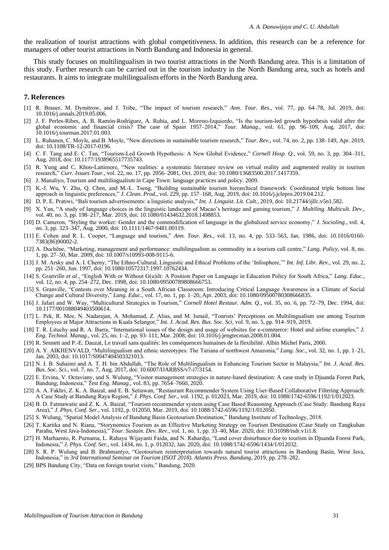the realization of tourist attractions with global competitiveness. In addition, this research can be a reference for managers of other tourist attractions in North Bandung and Indonesia in general.

This study focuses on multilingualism in two tourist attractions in the North Bandung area. This is a limitation of this study. Further research can be carried out in the tourism industry in the North Bandung area, such as hotels and restaurants. It aims to integrate multilingualism efforts in the North Bandung area.

# **7. References**

- [1] R. Brauer, M. Dymitrow, and J. Tribe, "The impact of tourism research," *Ann. Tour. Res.*, vol. 77, pp. 64–78, Jul. 2019, doi: 10.1016/j.annals.2019.05.006.
- [2] J. F. Perles-Ribes, A. B. Ramón-Rodríguez, A. Rubia, and L. Moreno-Izquierdo, "Is the tourism-led growth hypothesis valid after the global economic and financial crisis? The case of Spain 1957–2014," *Tour. Manag.*, vol. 61, pp. 96–109, Aug. 2017, doi: 10.1016/j.tourman.2017.01.003.
- [3] L. Ruhanen, C. Moyle, and B. Moyle, "New directions in sustainable tourism research," *Tour. Rev.*, vol. 74, no. 2, pp. 138–149, Apr. 2019, doi: 10.1108/TR-12-2017-0196.
- [4] C. F. Tang and E. C. Tan, "Tourism-Led Growth Hypothesis: A New Global Evidence," *Cornell Hosp. Q.*, vol. 59, no. 3, pp. 304–311, Aug. 2018, doi: 10.1177/1938965517735743.
- [5] R. Yung and C. Khoo-Lattimore, "New realities: a systematic literature review on virtual reality and augmented reality in tourism research," *Curr. Issues Tour.*, vol. 22, no. 17, pp. 2056–2081, Oct. 2019, doi: 10.1080/13683500.2017.1417359.
- [6] J. Manaliyo, Tourism and multilingualism in Cape Town: language practices and policy. 2009.
- [7] K.-J. Wu, Y. Zhu, Q. Chen, and M.-L. Tseng, "Building sustainable tourism hierarchical framework: Coordinated triple bottom line approach in linguistic preferences," *J. Clean. Prod.*, vol. 229, pp. 157–168, Aug. 2019, doi: 10.1016/j.jclepro.2019.04.212.
- [8] D. P. E. Pratiwi, "Bali tourism advertisements: a linguistic analysis," *Int. J. Linguist. Lit. Cult.*, 2019, doi: 10.21744/ijllc.v5n1.582.
- [9] X. Yan, "A study of language choices in the linguistic landscape of Macao's heritage and gaming tourism," *J. Multiling. Multicult. Dev.*, vol. 40, no. 3, pp. 198–217, Mar. 2019, doi: 10.1080/01434632.2018.1498853.
- [10] D. Cameron, "Styling the worker: Gender and the commodification of language in the globalized service economy," *J. Socioling.*, vol. 4, no. 3, pp. 323–347, Aug. 2000, doi: 10.1111/1467-9481.00119.
- [11] E. Cohen and R. L. Cooper, "Language and tourism," *Ann. Tour. Res.*, vol. 13, no. 4, pp. 533–563, Jan. 1986, doi: 10.1016/0160- 7383(86)90002-2.
- [12] A. Duchêne, "Marketing, management and performance: multilingualism as commodity in a tourism call centre," *Lang. Policy*, vol. 8, no. 1, pp. 27–50, Mar. 2009, doi: 10.1007/s10993-008-9115-6.
- [13] J. M. Arsky and A. I. Cherny, "The Ethno-Cultural, Linguistic and Ethical Problems of the 'Infosphere,'" *Int. Inf. Libr. Rev.*, vol. 29, no. 2, pp. 251–260, Jun. 1997, doi: 10.1080/10572317.1997.10762434.
- [14] S. Granville *et al.*, "English With or Without G(u)ilt: A Position Paper on Language in Education Policy for South Africa," *Lang. Educ.*, vol. 12, no. 4, pp. 254–272, Dec. 1998, doi: 10.1080/09500789808666753.
- [15] S. Granville, "Contests over Meaning in a South African Classroom: Introducing Critical Language Awareness in a Climate of Social Change and Cultural Diversity," *Lang. Educ.*, vol. 17, no. 1, pp. 1–20, Apr. 2003, doi: 10.1080/09500780308666835.
- [16] J. Jafari and W. Way, "Multicultural Strategics in Tourism," *Cornell Hotel Restaur. Adm. Q.*, vol. 35, no. 6, pp. 72–79, Dec. 1994, doi: 10.1177/001088049403500614.
- [17] L. Pek, R. Mee, N. Nadarajan, A. Mohamad, Z. Alias, and M. Ismail, "Tourists' Perceptions on Multilingualism use among Tourism Employees at Major Attractions in Kuala Selangor," *Int. J. Acad. Res. Bus. Soc. Sci*, vol. 9, no. 5, pp. 914–919, 2019.
- [18] T. R. Lituchy and R. A. Barra, "International issues of the design and usage of websites for e-commerce: Hotel and airline examples," *J. Eng. Technol. Manag.*, vol. 25, no. 1–2, pp. 93–111, Mar. 2008, doi: 10.1016/j.jengtecman.2008.01.004.
- [19] R. Sennett and P.-E. Dauzat, Le travail sans qualités: les conséquences humaines de la flexibilité. Albin Michel Paris, 2000.
- [20] A. Y. AIKHENVALD, "Multilingualism and ethnic stereotypes: The Tariana of northwest Amazonia," *Lang. Soc.*, vol. 32, no. 1, pp. 1–21, Jan. 2003, doi: 10.1017/S0047404503321013.
- [21] N. I. B. Suhaimi and A. T. H. bin Abdullah, "The Role of Multilingualism in Enhancing Tourism Sector in Malaysia," *Int. J. Acad. Res. Bus. Soc. Sci.*, vol. 7, no. 7, Aug. 2017, doi: 10.6007/IJARBSS/v7-i7/3154.
- [22] E. Ervina, V. Octaviany, and S. Wulung, "Visitor management strategies in nature-based destination: A case study in Djuanda Forest Park, Bandung, Indonesia," *Test Eng. Manag.*, vol. 83, pp. 7654–7660, 2020.
- [23] A. A. Fakhri, Z. K. A. Baizal, and E. B. Setiawan, "Restaurant Recommender System Using User-Based Collaborative Filtering Approach: A Case Study at Bandung Raya Region," *J. Phys. Conf. Ser.*, vol. 1192, p. 012023, Mar. 2019, doi: 10.1088/1742-6596/1192/1/012023.
- [24] B. D. Fatmawatie and Z. K. A. Baizal, "Tourism recommender system using Case Based Reasoning Approach (Case Study: Bandung Raya Area)," *J. Phys. Conf. Ser.*, vol. 1192, p. 012050, Mar. 2019, doi: 10.1088/1742-6596/1192/1/012050.
- [25] S. Wulung, "Spatial Model Analysis of Bandung Basin Geotourism Destination," Bandung Institute of Technology, 2018.
- [26] T. Kartika and N. Riana, "Storynomics Tourism as an Effective Marketing Strategy on Tourism Destination (Case Study on Tangkuban Parahu, West Java-Indonesia)," *Tour. Sustain. Dev. Rev.*, vol. 1, no. 1, pp. 33–40, Mar. 2020, doi: 10.31098/tsdr.v1i1.8.
- [27] H. Marhaento, R. Purnama, L. Rahayu Wijayanti Faida, and N. Rahardjo, "Land cover disturbance due to tourism in Djuanda Forest Park, Indonesia," *J. Phys. Conf. Ser.*, vol. 1434, no. 1, p. 012032, Jan. 2020, doi: 10.1088/1742-6596/1434/1/012032.
- [28] S. R. P. Wulung and B. Brahmantyo, "Geotourism reinterpretation towards natural tourist attractions in Bandung Basin, West Java, Indonesia," in *3rd International Seminar on Tourism (ISOT 2018). Atlantis Press. Bandung*, 2019, pp. 278–282.
- [29] BPS Bandung City, "Data on foreign tourist visits," Bandung, 2020.